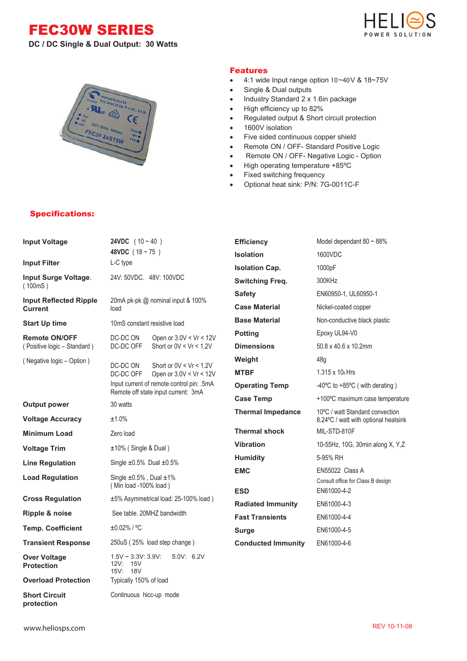## FEC30W SERIES



**DC / DC Single & Dual Output: 30 Watts**



#### Features

- 4:1 wide Input range option 10~40V & 18~75V
- Single & Dual outputs
- Industry Standard 2 x 1.6in package
- High efficiency up to 82%
- Regulated output & Short circuit protection
- 1600V isolation
- Five sided continuous copper shield
- Remote ON / OFF- Standard Positive Logic
- Remote ON / OFF- Negative Logic Option
- High operating temperature +85ºC
- Fixed switching frequency
- Optional heat sink: P/N: 7G-0011C-F

### Specifications:

| <b>Input Voltage</b>                     | <b>24VDC</b> $(10 - 40)$                                                         |                                                        | <b>Efficiency</b>         | Model dependant 80 $\sim$ 88%                                           |  |
|------------------------------------------|----------------------------------------------------------------------------------|--------------------------------------------------------|---------------------------|-------------------------------------------------------------------------|--|
|                                          | 48VDC $(18 - 75)$                                                                |                                                        | <b>Isolation</b>          | 1600VDC                                                                 |  |
| <b>Input Filter</b>                      | L-C type<br>24V: 50VDC. 48V: 100VDC                                              |                                                        | <b>Isolation Cap.</b>     | 1000pF                                                                  |  |
| Input Surge Voltage.<br>(100mS)          |                                                                                  |                                                        | <b>Switching Freq.</b>    | 300KHz                                                                  |  |
| <b>Input Reflected Ripple</b>            |                                                                                  |                                                        | <b>Safety</b>             | EN60950-1, UL60950-1                                                    |  |
| <b>Current</b>                           | 20mA pk-pk @ nominal input & 100%<br>load                                        |                                                        | <b>Case Material</b>      | Nickel-coated copper                                                    |  |
| <b>Start Up time</b>                     | 10mS constant resistive load                                                     |                                                        | <b>Base Material</b>      | Non-conductive black plastic                                            |  |
| <b>Remote ON/OFF</b>                     | DC-DC ON                                                                         | Open or $3.0V < Vr < 12V$<br>Short or $0V < Vr < 1.2V$ | <b>Potting</b>            | Epoxy UL94-V0                                                           |  |
| (Positive logic - Standard)              | DC-DC OFF                                                                        |                                                        | <b>Dimensions</b>         | 50.8 x 40.6 x 10.2mm                                                    |  |
| (Negative logic - Option)                | DC-DC ON                                                                         | Short or $0V < Vr < 1.2V$<br>Open or $3.0V < Vr < 12V$ | Weight                    | 48 <sub>g</sub>                                                         |  |
|                                          | DC-DC OFF                                                                        |                                                        | <b>MTBF</b>               | 1.315 x 10 <sub>6</sub> Hrs                                             |  |
|                                          | Input current of remote control pin: .5mA<br>Remote off state input current: 3mA |                                                        | <b>Operating Temp</b>     | -40 $\degree$ C to +85 $\degree$ C (with derating)                      |  |
| <b>Output power</b>                      | 30 watts                                                                         |                                                        | <b>Case Temp</b>          | +100°C maximum case temperature                                         |  |
| <b>Voltage Accuracy</b>                  | ±1.0%                                                                            |                                                        | <b>Thermal Impedance</b>  | 10°C / watt Standard convection<br>8.24°C / watt with optional heatsink |  |
| <b>Minimum Load</b>                      | Zero load                                                                        |                                                        | <b>Thermal shock</b>      | MIL-STD-810F                                                            |  |
| <b>Voltage Trim</b>                      | $±10\%$ (Single & Dual)                                                          |                                                        | <b>Vibration</b>          | 10-55Hz, 10G, 30min along X, Y,Z                                        |  |
| <b>Line Regulation</b>                   | Single $\pm 0.5\%$ Dual $\pm 0.5\%$                                              |                                                        | <b>Humidity</b>           | 5-95% RH                                                                |  |
| <b>Load Regulation</b>                   | Single $\pm 0.5\%$ , Dual $\pm 1\%$<br>(Min load -100% load)                     |                                                        | <b>EMC</b><br><b>ESD</b>  | EN55022 Class A<br>Consult office for Class B design<br>EN61000-4-2     |  |
| <b>Cross Regulation</b>                  |                                                                                  | ±5% Asymmetrical load: 25-100% load)                   | <b>Radiated Immunity</b>  | EN61000-4-3                                                             |  |
| Ripple & noise                           |                                                                                  | See table, 20MHZ bandwidth                             | <b>Fast Transients</b>    | EN61000-4-4                                                             |  |
| <b>Temp. Coefficient</b>                 | ±0.02% / °C                                                                      |                                                        | <b>Surge</b>              | EN61000-4-5                                                             |  |
| <b>Transient Response</b>                |                                                                                  | 250uS (25% load step change)                           | <b>Conducted Immunity</b> | EN61000-4-6                                                             |  |
| <b>Over Voltage</b><br><b>Protection</b> | $1.5V \sim 3.3V$ : 3.9V:<br>12V: 15V<br>15V: 18V                                 | 5.0V: 6.2V                                             |                           |                                                                         |  |
| <b>Overload Protection</b>               | Typically 150% of load                                                           |                                                        |                           |                                                                         |  |
| <b>Short Circuit</b>                     | Continuous hicc-up mode                                                          |                                                        |                           |                                                                         |  |

**protection**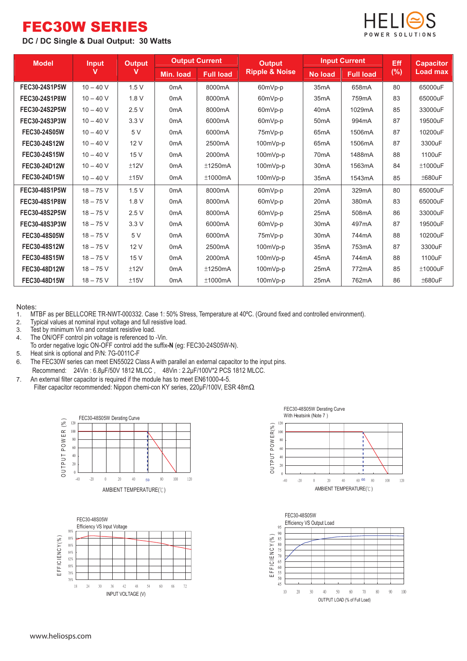# FEC30W SERIES

### **DC / DC Single & Dual Output: 30 Watts**



| <b>Model</b>         | <b>Input</b> | <b>Output</b> | <b>Output Current</b> |                  | <b>Output</b>             | <b>Input Current</b> |                  | Eff    | <b>Capacitor</b> |
|----------------------|--------------|---------------|-----------------------|------------------|---------------------------|----------------------|------------------|--------|------------------|
|                      | v            | v             | Min. load             | <b>Full load</b> | <b>Ripple &amp; Noise</b> | <b>No load</b>       | <b>Full load</b> | $(\%)$ | Load max         |
| <b>FEC30-24S1P5W</b> | $10 - 40 V$  | 1.5V          | 0 <sub>m</sub> A      | 8000mA           | 60mVp-p                   | 35 <sub>m</sub> A    | 658mA            | 80     | 65000uF          |
| FEC30-24S1P8W        | $10 - 40 V$  | 1.8V          | 0 <sub>m</sub> A      | 8000mA           | 60mVp-p                   | 35 <sub>m</sub> A    | 759mA            | 83     | 65000uF          |
| FEC30-24S2P5W        | $10 - 40 V$  | 2.5V          | 0 <sub>m</sub> A      | 8000mA           | 60mVp-p                   | 40 <sub>m</sub> A    | 1029mA           | 85     | 33000uF          |
| FEC30-24S3P3W        | $10 - 40$ V  | 3.3V          | 0 <sub>m</sub> A      | 6000mA           | 60mVp-p                   | 50 <sub>m</sub> A    | 994mA            | 87     | 19500uF          |
| FEC30-24S05W         | $10 - 40 V$  | 5V            | 0 <sub>m</sub> A      | 6000mA           | 75mVp-p                   | 65 <sub>m</sub> A    | 1506mA           | 87     | 10200uF          |
| FEC30-24S12W         | $10 - 40 V$  | 12V           | 0 <sub>m</sub> A      | 2500mA           | 100mVp-p                  | 65 <sub>m</sub> A    | 1506mA           | 87     | 3300uF           |
| FEC30-24S15W         | $10 - 40 V$  | 15 V          | 0 <sub>m</sub> A      | 2000mA           | 100mVp-p                  | 70 <sub>m</sub> A    | 1488mA           | 88     | 1100uF           |
| FEC30-24D12W         | $10 - 40$ V  | ±12V          | 0 <sub>m</sub> A      | ±1250mA          | 100mVp-p                  | 30 <sub>m</sub> A    | 1563mA           | 84     | ±1000uF          |
| FEC30-24D15W         | $10 - 40 V$  | ±15V          | 0 <sub>m</sub> A      | ±1000mA          | $100mVp-p$                | 35 <sub>m</sub> A    | 1543mA           | 85     | ±680uF           |
| FEC30-48S1P5W        | $18 - 75V$   | 1.5V          | 0 <sub>m</sub> A      | 8000mA           | 60mVp-p                   | 20 <sub>m</sub> A    | 329mA            | 80     | 65000uF          |
| FEC30-48S1P8W        | $18 - 75V$   | 1.8V          | 0 <sub>m</sub> A      | 8000mA           | 60mVp-p                   | 20 <sub>m</sub> A    | 380mA            | 83     | 65000uF          |
| FEC30-48S2P5W        | $18 - 75$ V  | 2.5V          | 0 <sub>m</sub> A      | 8000mA           | 60mVp-p                   | 25mA                 | 508mA            | 86     | 33000uF          |
| FEC30-48S3P3W        | $18 - 75V$   | 3.3V          | 0 <sub>m</sub> A      | 6000mA           | 60mVp-p                   | 30 <sub>m</sub> A    | 497mA            | 87     | 19500uF          |
| FEC30-48S05W         | $18 - 75V$   | 5 V           | 0 <sub>m</sub> A      | 6000mA           | 75mVp-p                   | 30 <sub>m</sub> A    | 744mA            | 88     | 10200uF          |
| FEC30-48S12W         | $18 - 75V$   | 12V           | 0 <sub>m</sub> A      | 2500mA           | 100mVp-p                  | 35 <sub>m</sub> A    | 753mA            | 87     | 3300uF           |
| FEC30-48S15W         | $18 - 75V$   | 15 V          | 0 <sub>m</sub> A      | 2000mA           | 100mVp-p                  | 45 <sub>m</sub> A    | 744mA            | 88     | 1100uF           |
| FEC30-48D12W         | $18 - 75$ V  | ±12V          | 0 <sub>m</sub> A      | ±1250mA          | $100mVp-p$                | 25mA                 | 772mA            | 85     | ±1000uF          |
| FEC30-48D15W         | $18 - 75$ V  | ±15V          | 0 <sub>m</sub> A      | ±1000mA          | $100mVp-p$                | 25mA                 | 762mA            | 86     | ±680uF           |

Notes:<br>1. M 1. MTBF as per BELLCORE TR-NWT-000332. Case 1: 50% Stress, Temperature at 40°C. (Ground fixed and controlled environment).<br>2. Typical values at nominal input voltage and full resistive load.

- Typical values at nominal input voltage and full resistive load.
- 3. Test by minimum Vin and constant resistive load.
- 4. The ON/OFF control pin voltage is referenced to -Vin.
- To order negative logic ON-OFF control add the suffix**-N** (eg: FEC30-24S05W-N).
- 5. Heat sink is optional and P/N: 7G-0011C-F
- 6. The FEC30W series can meet EN55022 Class A with parallel an external capacitor to the input pins. Recommend: 24Vin : 6.8μF/50V 1812 MLCC , 48Vin : 2.2μF/100V\*2 PCS 1812 MLCC.
- 7. An external filter capacitor is required if the module has to meet EN61000-4-5. Filter capacitor recommended: Nippon chemi-con KY series, 220μF/100V, ESR 48mΩ.